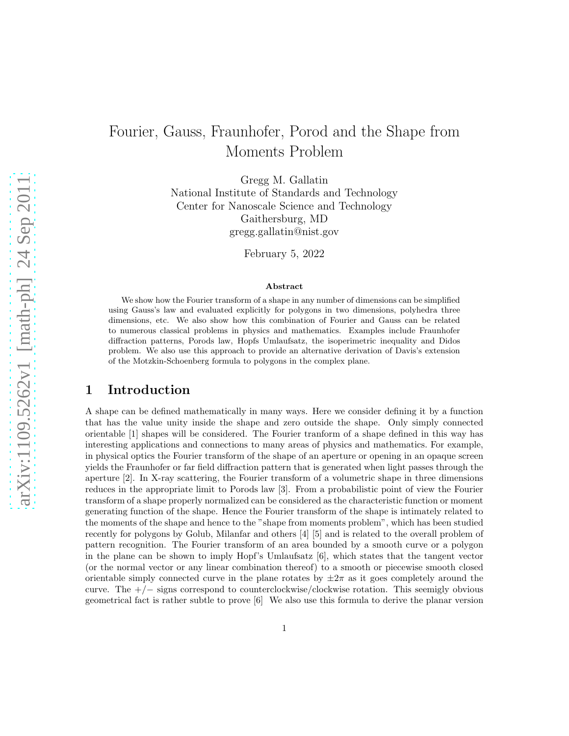# Fourier, Gauss, Fraunhofer, Porod and the Shape from Moments Problem

Gregg M. Gallatin National Institute of Standards and Technology Center for Nanoscale Science and Technology Gaithersburg, MD gregg.gallatin@nist.gov

February 5, 2022

#### Abstract

We show how the Fourier transform of a shape in any number of dimensions can be simplified using Gauss's law and evaluated explicitly for polygons in two dimensions, polyhedra three dimensions, etc. We also show how this combination of Fourier and Gauss can be related to numerous classical problems in physics and mathematics. Examples include Fraunhofer diffraction patterns, Porods law, Hopfs Umlaufsatz, the isoperimetric inequality and Didos problem. We also use this approach to provide an alternative derivation of Davis's extension of the Motzkin-Schoenberg formula to polygons in the complex plane.

# 1 Introduction

A shape can be defined mathematically in many ways. Here we consider defining it by a function that has the value unity inside the shape and zero outside the shape. Only simply connected orientable [1] shapes will be considered. The Fourier tranform of a shape defined in this way has interesting applications and connections to many areas of physics and mathematics. For example, in physical optics the Fourier transform of the shape of an aperture or opening in an opaque screen yields the Fraunhofer or far field diffraction pattern that is generated when light passes through the aperture [2]. In X-ray scattering, the Fourier transform of a volumetric shape in three dimensions reduces in the appropriate limit to Porods law [3]. From a probabilistic point of view the Fourier transform of a shape properly normalized can be considered as the characteristic function or moment generating function of the shape. Hence the Fourier transform of the shape is intimately related to the moments of the shape and hence to the "shape from moments problem", which has been studied recently for polygons by Golub, Milanfar and others [4] [5] and is related to the overall problem of pattern recognition. The Fourier transform of an area bounded by a smooth curve or a polygon in the plane can be shown to imply Hopf's Umlaufsatz  $[6]$ , which states that the tangent vector (or the normal vector or any linear combination thereof) to a smooth or piecewise smooth closed orientable simply connected curve in the plane rotates by  $\pm 2\pi$  as it goes completely around the curve. The +/− signs correspond to counterclockwise/clockwise rotation. This seemigly obvious geometrical fact is rather subtle to prove [6] We also use this formula to derive the planar version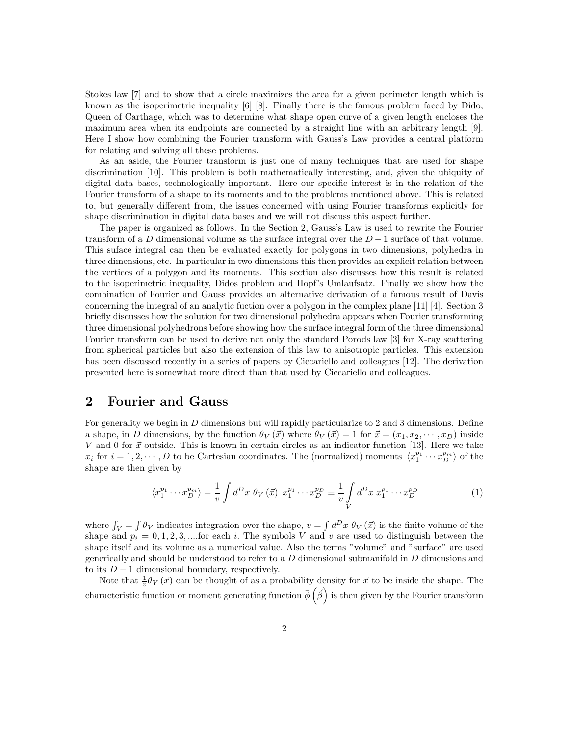Stokes law [7] and to show that a circle maximizes the area for a given perimeter length which is known as the isoperimetric inequality [6] [8]. Finally there is the famous problem faced by Dido, Queen of Carthage, which was to determine what shape open curve of a given length encloses the maximum area when its endpoints are connected by a straight line with an arbitrary length [9]. Here I show how combining the Fourier transform with Gauss's Law provides a central platform for relating and solving all these problems.

As an aside, the Fourier transform is just one of many techniques that are used for shape discrimination [10]. This problem is both mathematically interesting, and, given the ubiquity of digital data bases, technologically important. Here our specific interest is in the relation of the Fourier transform of a shape to its moments and to the problems mentioned above. This is related to, but generally different from, the issues concerned with using Fourier transforms explicitly for shape discrimination in digital data bases and we will not discuss this aspect further.

The paper is organized as follows. In the Section 2, Gauss's Law is used to rewrite the Fourier transform of a D dimensional volume as the surface integral over the  $D-1$  surface of that volume. This suface integral can then be evaluated exactly for polygons in two dimensions, polyhedra in three dimensions, etc. In particular in two dimensions this then provides an explicit relation between the vertices of a polygon and its moments. This section also discusses how this result is related to the isoperimetric inequality, Didos problem and Hopf's Umlaufsatz. Finally we show how the combination of Fourier and Gauss provides an alternative derivation of a famous result of Davis concerning the integral of an analytic fuction over a polygon in the complex plane [11] [4]. Section 3 briefly discusses how the solution for two dimensional polyhedra appears when Fourier transforming three dimensional polyhedrons before showing how the surface integral form of the three dimensional Fourier transform can be used to derive not only the standard Porods law [3] for X-ray scattering from spherical particles but also the extension of this law to anisotropic particles. This extension has been discussed recently in a series of papers by Ciccariello and colleagues [12]. The derivation presented here is somewhat more direct than that used by Ciccariello and colleagues.

### 2 Fourier and Gauss

For generality we begin in D dimensions but will rapidly particularize to 2 and 3 dimensions. Define a shape, in D dimensions, by the function  $\theta_V(\vec{x})$  where  $\theta_V(\vec{x}) = 1$  for  $\vec{x} = (x_1, x_2, \dots, x_D)$  inside V and 0 for  $\vec{x}$  outside. This is known in certain circles as an indicator function [13]. Here we take  $x_i$  for  $i = 1, 2, \dots, D$  to be Cartesian coordinates. The (normalized) moments  $\langle x_1^{p_1} \cdots x_D^{p_m} \rangle$  of the shape are then given by

$$
\langle x_1^{p_1} \cdots x_D^{p_m} \rangle = \frac{1}{v} \int d^D x \; \theta_V \left( \vec{x} \right) \; x_1^{p_1} \cdots x_D^{p_D} \equiv \frac{1}{v} \int \limits_V d^D x \; x_1^{p_1} \cdots x_D^{p_D} \tag{1}
$$

where  $\int_V = \int \theta_V$  indicates integration over the shape,  $v = \int d^D x \, \theta_V(\vec{x})$  is the finite volume of the shape and  $p_i = 0, 1, 2, 3, \dots$  for each i. The symbols V and v are used to distinguish between the shape itself and its volume as a numerical value. Also the terms "volume" and "surface" are used generically and should be understood to refer to a  $D$  dimensional submanifold in  $D$  dimensions and to its  $D-1$  dimensional boundary, respectively.

Note that  $\frac{1}{v}\theta_V(\vec{x})$  can be thought of as a probability density for  $\vec{x}$  to be inside the shape. The characteristic function or moment generating function  $\bar{\phi}$  ( $\vec{\beta}$ ) is then given by the Fourier transform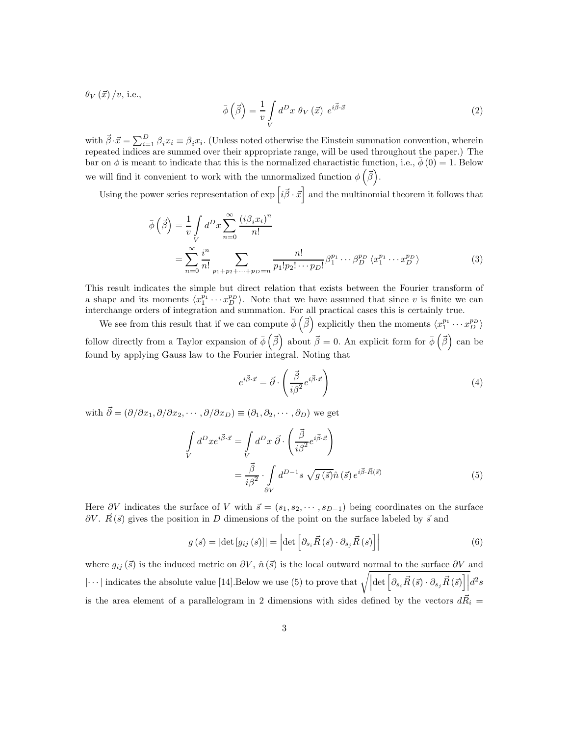$\theta_V(\vec{x})/v$ , i.e.,

$$
\bar{\phi}\left(\vec{\beta}\right) = \frac{1}{v} \int\limits_V d^D x \ \theta_V\left(\vec{x}\right) \ e^{i\vec{\beta}\cdot\vec{x}} \tag{2}
$$

with  $\vec{\beta} \cdot \vec{x} = \sum_{i=1}^{D} \beta_i x_i \equiv \beta_i x_i$ . (Unless noted otherwise the Einstein summation convention, wherein repeated indices are summed over their appropriate range, will be used throughout the paper.) The bar on  $\phi$  is meant to indicate that this is the normalized charactistic function, i.e.,  $\phi(0) = 1$ . Below we will find it convenient to work with the unnormalized function  $\phi\left(\vec{\beta}\right)$ .

Using the power series representation of  $\exp\left[i\vec{\beta}\cdot\vec{x}\right]$  and the multinomial theorem it follows that

$$
\bar{\phi}\left(\vec{\beta}\right) = \frac{1}{v} \int\limits_V d^D x \sum\limits_{n=0}^{\infty} \frac{\left(i\beta_i x_i\right)^n}{n!}
$$
\n
$$
= \sum\limits_{n=0}^{\infty} \frac{i^n}{n!} \sum\limits_{p_1 + p_2 + \dots + p_D = n} \frac{n!}{p_1! p_2! \dots p_D!} \beta_1^{p_1} \dots \beta_D^{p_D} \langle x_1^{p_1} \dots x_D^{p_D} \rangle \tag{3}
$$

This result indicates the simple but direct relation that exists between the Fourier transform of a shape and its moments  $\langle x_1^{p_1} \cdots x_D^{p_D} \rangle$ . Note that we have assumed that since v is finite we can interchange orders of integration and summation. For all practical cases this is certainly true.

We see from this result that if we can compute  $\bar{\phi}(\vec{\beta})$  explicitly then the moments  $\langle x_1^{p_1} \cdots x_D^{p_D} \rangle$ follow directly from a Taylor expansion of  $\bar{\phi}(\vec{\beta})$  about  $\vec{\beta} = 0$ . An explicit form for  $\bar{\phi}(\vec{\beta})$  can be found by applying Gauss law to the Fourier integral. Noting that

$$
e^{i\vec{\beta}\cdot\vec{x}} = \vec{\partial} \cdot \left(\frac{\vec{\beta}}{i\beta^2}e^{i\vec{\beta}\cdot\vec{x}}\right)
$$
 (4)

with  $\vec{\partial} = (\partial/\partial x_1, \partial/\partial x_2, \cdots, \partial/\partial x_D) \equiv (\partial_1, \partial_2, \cdots, \partial_D)$  we get

$$
\int_{V} d^{D}x e^{i\vec{\beta}\cdot\vec{x}} = \int_{V} d^{D}x \ \vec{\partial} \cdot \left(\frac{\vec{\beta}}{i\beta^{2}} e^{i\vec{\beta}\cdot\vec{x}}\right)
$$
\n
$$
= \frac{\vec{\beta}}{i\beta^{2}} \cdot \int_{\partial V} d^{D-1}s \ \sqrt{g(\vec{s})}\hat{n}(\vec{s}) e^{i\vec{\beta}\cdot\vec{R}(\vec{s})}
$$
\n(5)

Here ∂V indicates the surface of V with  $\vec{s} = (s_1, s_2, \dots, s_{D-1})$  being coordinates on the surface  $\partial V$ .  $\vec{R}(\vec{s})$  gives the position in D dimensions of the point on the surface labeled by  $\vec{s}$  and

$$
g\left(\vec{s}\right) = \left|\det\left[g_{ij}\left(\vec{s}\right)\right]\right| = \left|\det\left[\partial_{s_i}\vec{R}\left(\vec{s}\right)\cdot\partial_{s_j}\vec{R}\left(\vec{s}\right)\right]\right| \tag{6}
$$

where  $g_{ij}(\vec{s})$  is the induced metric on  $\partial V$ ,  $\hat{n}(\vec{s})$  is the local outward normal to the surface  $\partial V$  and  $\cdots$  | indicates the absolute value [14]. Below we use (5) to prove that  $\sqrt{\left|\det\left[\partial_{s_i}\vec{R}\left(\vec{s}\right)\cdot\partial_{s_j}\vec{R}\left(\vec{s}\right)\right]\right|}d^2s$ is the area element of a parallelogram in 2 dimensions with sides defined by the vectors  $d\vec{R}_i =$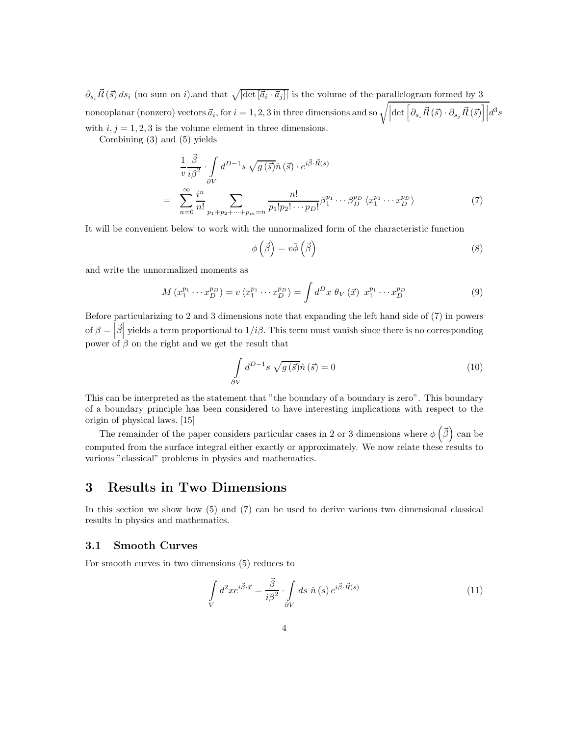$\partial_{s_i} \vec{R}(\vec{s}) ds_i$  (no sum on i).and that  $\sqrt{|\det[\vec{a}_i \cdot \vec{a}_j]|}$  is the volume of the parallelogram formed by 3  $\text{noncoplanar (nonzero) vectors } \vec{a}_i, \text{ for } i = 1, 2, 3 \text{ in three dimensions and so } \sqrt{\left|\det \left[\partial_{s_i} \vec{R} \left(\vec{s}\right) \cdot \partial_{s_j} \vec{R} \left(\vec{s}\right)\right]\right|} d^3 s$ with  $i, j = 1, 2, 3$  is the volume element in three dimensions.

Combining (3) and (5) yields

$$
\frac{1}{v} \frac{\vec{\beta}}{i\beta^2} \cdot \int_{\partial V} d^{D-1}s \sqrt{g(\vec{s})} \hat{n}(\vec{s}) \cdot e^{i\vec{\beta} \cdot \vec{R}(s)} \n= \sum_{n=0}^{\infty} \frac{i^n}{n!} \sum_{p_1+p_2+\cdots+p_m=n} \frac{n!}{p_1!p_2! \cdots p_D!} \beta_1^{p_1} \cdots \beta_D^{p_D} \langle x_1^{p_1} \cdots x_D^{p_D} \rangle
$$
\n(7)

It will be convenient below to work with the unnormalized form of the characteristic function

$$
\phi\left(\vec{\beta}\right) = v\bar{\phi}\left(\vec{\beta}\right) \tag{8}
$$

and write the unnormalized moments as

$$
M\left(x_1^{p_1}\cdots x_D^{p_D}\right) = v\left(x_1^{p_1}\cdots x_D^{p_D}\right) = \int d^D x \ \theta_V\left(\vec{x}\right) \ x_1^{p_1}\cdots x_D^{p_D} \tag{9}
$$

Before particularizing to 2 and 3 dimensions note that expanding the left hand side of (7) in powers of  $\beta = \left| \vec{\beta} \right|$  yields a term proportional to  $1/i\beta$ . This term must vanish since there is no corresponding power of  $\beta$  on the right and we get the result that

$$
\int_{\partial V} d^{D-1}s \sqrt{g(\vec{s})}\hat{n}(\vec{s}) = 0
$$
\n(10)

This can be interpreted as the statement that "the boundary of a boundary is zero". This boundary of a boundary principle has been considered to have interesting implications with respect to the origin of physical laws. [15]

The remainder of the paper considers particular cases in 2 or 3 dimensions where  $\phi\left(\vec{\beta}\right)$  can be computed from the surface integral either exactly or approximately. We now relate these results to various "classical" problems in physics and mathematics.

# 3 Results in Two Dimensions

In this section we show how (5) and (7) can be used to derive various two dimensional classical results in physics and mathematics.

#### 3.1 Smooth Curves

For smooth curves in two dimensions (5) reduces to

$$
\int\limits_V d^2x e^{i\vec{\beta}\cdot\vec{x}} = \frac{\vec{\beta}}{i\beta^2} \cdot \int\limits_{\partial V} ds \ \hat{n}(s) e^{i\vec{\beta}\cdot\vec{R}(s)} \tag{11}
$$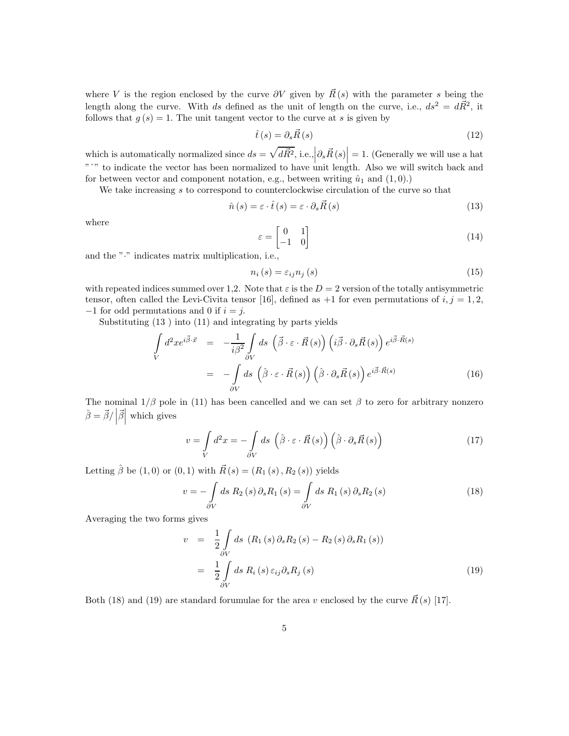where V is the region enclosed by the curve  $\partial V$  given by  $\vec{R}(s)$  with the parameter s being the length along the curve. With ds defined as the unit of length on the curve, i.e.,  $ds^2 = d\vec{R}^2$ , it follows that  $g(s) = 1$ . The unit tangent vector to the curve at s is given by

$$
\hat{t}(s) = \partial_s \vec{R}(s) \tag{12}
$$

which is automatically normalized since  $ds = \sqrt{d\vec{R}^2}$ , i.e.,  $\left|\partial_s \vec{R}(s)\right| = 1$ . (Generally we will use a hat "<sup>o"</sup> to indicate the vector has been normalized to have unit length. Also we will switch back and for between vector and component notation, e.g., between writing  $\hat{u}_1$  and  $(1, 0)$ .)

We take increasing s to correspond to counterclockwise circulation of the curve so that

$$
\hat{n}(s) = \varepsilon \cdot \hat{t}(s) = \varepsilon \cdot \partial_s \vec{R}(s)
$$
\n(13)

where

$$
\varepsilon = \begin{bmatrix} 0 & 1 \\ -1 & 0 \end{bmatrix} \tag{14}
$$

and the "·" indicates matrix multiplication, i.e.,

$$
n_i(s) = \varepsilon_{ij} n_j(s) \tag{15}
$$

with repeated indices summed over 1,2. Note that  $\varepsilon$  is the  $D = 2$  version of the totally antisymmetric tensor, often called the Levi-Civita tensor [16], defined as  $+1$  for even permutations of  $i, j = 1, 2$ ,  $-1$  for odd permutations and 0 if  $i = j$ .

Substituting (13 ) into (11) and integrating by parts yields

$$
\int_{V} d^{2}x e^{i\vec{\beta}\cdot\vec{x}} = -\frac{1}{i\beta^{2}} \int_{\partial V} ds \, (\vec{\beta} \cdot \varepsilon \cdot \vec{R}(s)) \left( i\vec{\beta} \cdot \partial_{s}\vec{R}(s) \right) e^{i\vec{\beta}\cdot\vec{R}(s)} \n= -\int_{\partial V} ds \, (\hat{\beta} \cdot \varepsilon \cdot \vec{R}(s)) \left( \hat{\beta} \cdot \partial_{s}\vec{R}(s) \right) e^{i\vec{\beta}\cdot\vec{R}(s)} \tag{16}
$$

The nominal  $1/\beta$  pole in (11) has been cancelled and we can set  $\beta$  to zero for arbitrary nonzero  $\hat{\beta} = \vec{\beta} / |\vec{\beta}|$  which gives

$$
v = \int\limits_V d^2x = -\int\limits_{\partial V} ds \, (\hat{\beta} \cdot \varepsilon \cdot \vec{R}(s)) \left(\hat{\beta} \cdot \partial_s \vec{R}(s)\right) \tag{17}
$$

Letting  $\hat{\beta}$  be (1,0) or (0,1) with  $\vec{R}(s) = (R_1(s), R_2(s))$  yields

$$
v = -\int_{\partial V} ds R_2(s) \partial_s R_1(s) = \int_{\partial V} ds R_1(s) \partial_s R_2(s)
$$
 (18)

Averaging the two forms gives

$$
v = \frac{1}{2} \int_{\partial V} ds \left( R_1(s) \partial_s R_2(s) - R_2(s) \partial_s R_1(s) \right)
$$
  

$$
= \frac{1}{2} \int_{\partial V} ds \, R_i(s) \, \varepsilon_{ij} \partial_s R_j(s) \tag{19}
$$

Both (18) and (19) are standard forumulae for the area v enclosed by the curve  $\vec{R}(s)$  [17].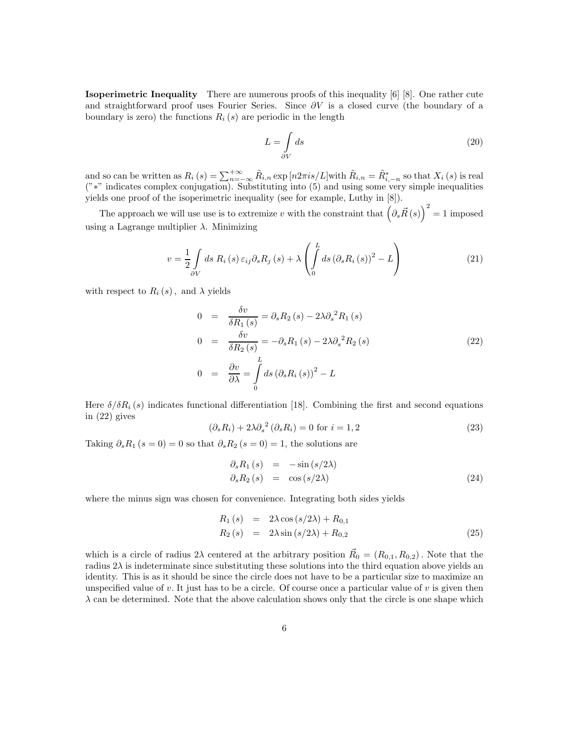Isoperimetric Inequality There are numerous proofs of this inequality [6] [8]. One rather cute and straightforward proof uses Fourier Series. Since  $\partial V$  is a closed curve (the boundary of a boundary is zero) the functions  $R_i(s)$  are periodic in the length

$$
L = \int_{\partial V} ds \tag{20}
$$

and so can be written as  $R_i(s) = \sum_{n=-\infty}^{+\infty} \tilde{R}_{i,n} \exp\left[n2\pi i s/L\right]$  with  $\tilde{R}_{i,n} = \tilde{R}_{i,-n}^*$  so that  $X_i(s)$  is real ("∗" indicates complex conjugation). Substituting into (5) and using some very simple inequalities yields one proof of the isoperimetric inequality (see for example, Luthy in [8]).

The approach we will use use is to extremize v with the constraint that  $(\partial_s \vec{R}(s))^2 = 1$  imposed using a Lagrange multiplier  $\lambda$ . Minimizing

$$
v = \frac{1}{2} \int_{\partial V} ds \, R_i \left( s \right) \varepsilon_{ij} \partial_s R_j \left( s \right) + \lambda \left( \int_0^L ds \left( \partial_s R_i \left( s \right) \right)^2 - L \right) \tag{21}
$$

with respect to  $R_i(s)$ , and  $\lambda$  yields

$$
0 = \frac{\delta v}{\delta R_1(s)} = \partial_s R_2(s) - 2\lambda \partial_s^2 R_1(s)
$$
  
\n
$$
0 = \frac{\delta v}{\delta R_2(s)} = -\partial_s R_1(s) - 2\lambda \partial_s^2 R_2(s)
$$
  
\n
$$
0 = \frac{\partial v}{\partial \lambda} = \int_0^L ds \left(\partial_s R_i(s)\right)^2 - L
$$
\n(22)

Here  $\delta/\delta R_i(s)$  indicates functional differentiation [18]. Combining the first and second equations in (22) gives

$$
(\partial_s R_i) + 2\lambda \partial_s^2 (\partial_s R_i) = 0 \text{ for } i = 1, 2
$$
 (23)

Taking  $\partial_s R_1$  (s = 0) = 0 so that  $\partial_s R_2$  (s = 0) = 1, the solutions are

$$
\begin{array}{rcl}\n\partial_s R_1(s) & = & -\sin\left(\frac{s}{2\lambda}\right) \\
\partial_s R_2(s) & = & \cos\left(\frac{s}{2\lambda}\right)\n\end{array} \tag{24}
$$

where the minus sign was chosen for convenience. Integrating both sides yields

$$
R_1(s) = 2\lambda \cos(s/2\lambda) + R_{0,1}
$$
  
\n
$$
R_2(s) = 2\lambda \sin(s/2\lambda) + R_{0,2}
$$
\n(25)

which is a circle of radius  $2\lambda$  centered at the arbitrary position  $\vec{R}_0 = (R_{0,1}, R_{0,2})$ . Note that the radius  $2\lambda$  is indeterminate since substituting these solutions into the third equation above yields an identity. This is as it should be since the circle does not have to be a particular size to maximize an unspecified value of v. It just has to be a circle. Of course once a particular value of v is given then  $\lambda$  can be determined. Note that the above calculation shows only that the circle is one shape which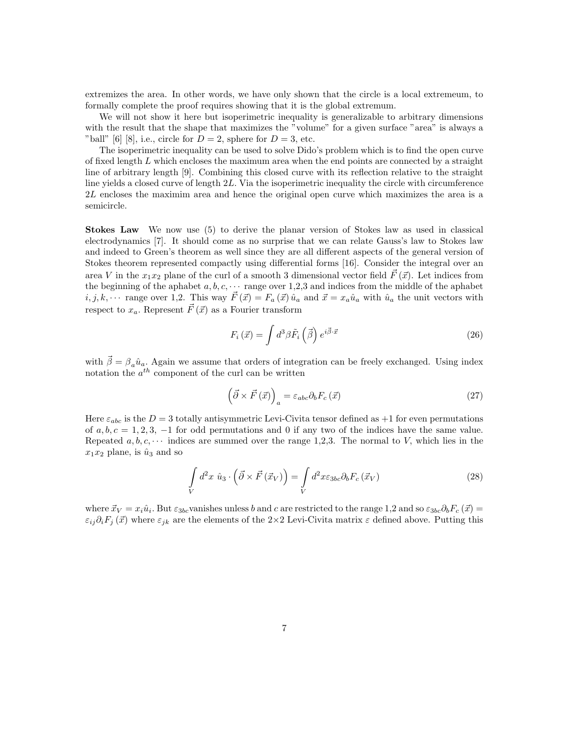extremizes the area. In other words, we have only shown that the circle is a local extremeum, to formally complete the proof requires showing that it is the global extremum.

We will not show it here but isoperimetric inequality is generalizable to arbitrary dimensions with the result that the shape that maximizes the "volume" for a given surface "area" is always a "ball" [6] [8], i.e., circle for  $D = 2$ , sphere for  $D = 3$ , etc.

The isoperimetric inequality can be used to solve Dido's problem which is to find the open curve of fixed length L which encloses the maximum area when the end points are connected by a straight line of arbitrary length [9]. Combining this closed curve with its reflection relative to the straight line yields a closed curve of length 2L. Via the isoperimetric inequality the circle with circumference 2L encloses the maximim area and hence the original open curve which maximizes the area is a semicircle.

Stokes Law We now use (5) to derive the planar version of Stokes law as used in classical electrodynamics [7]. It should come as no surprise that we can relate Gauss's law to Stokes law and indeed to Green's theorem as well since they are all different aspects of the general version of Stokes theorem represented compactly using differential forms [16]. Consider the integral over an area V in the  $x_1x_2$  plane of the curl of a smooth 3 dimensional vector field  $\vec{F}(\vec{x})$ . Let indices from the beginning of the aphabet  $a, b, c, \cdots$  range over 1,2,3 and indices from the middle of the aphabet  $i, j, k, \cdots$  range over 1,2. This way  $\vec{F}(\vec{x}) = F_a(\vec{x}) \hat{u}_a$  and  $\vec{x} = x_a \hat{u}_a$  with  $\hat{u}_a$  the unit vectors with respect to  $x_a$ . Represent  $\vec{F}(\vec{x})$  as a Fourier transform

$$
F_i\left(\vec{x}\right) = \int d^3\beta \tilde{F}_i\left(\vec{\beta}\right) e^{i\vec{\beta}\cdot\vec{x}} \tag{26}
$$

with  $\vec{\beta} = \beta_a \hat{u}_a$ . Again we assume that orders of integration can be freely exchanged. Using index notation the  $a^{th}$  component of the curl can be written

$$
\left(\vec{\partial} \times \vec{F}(\vec{x})\right)_a = \varepsilon_{abc} \partial_b F_c(\vec{x}) \tag{27}
$$

Here  $\varepsilon_{abc}$  is the  $D=3$  totally antisymmetric Levi-Civita tensor defined as  $+1$  for even permutations of  $a, b, c = 1, 2, 3, -1$  for odd permutations and 0 if any two of the indices have the same value. Repeated  $a, b, c, \cdots$  indices are summed over the range 1,2,3. The normal to V, which lies in the  $x_1x_2$  plane, is  $\hat{u}_3$  and so

$$
\int\limits_V d^2x \ \hat{u}_3 \cdot \left(\vec{\partial} \times \vec{F} \left(\vec{x}_V\right)\right) = \int\limits_V d^2x \varepsilon_{3bc} \partial_b F_c \left(\vec{x}_V\right) \tag{28}
$$

where  $\vec{x}_V = x_i \hat{u}_i$ . But  $\varepsilon_{3bc}$  vanishes unless b and c are restricted to the range 1,2 and so  $\varepsilon_{3bc} \partial_b F_c(\vec{x}) =$  $\varepsilon_{ij}\partial_iF_j(\vec{x})$  where  $\varepsilon_{jk}$  are the elements of the 2×2 Levi-Civita matrix  $\varepsilon$  defined above. Putting this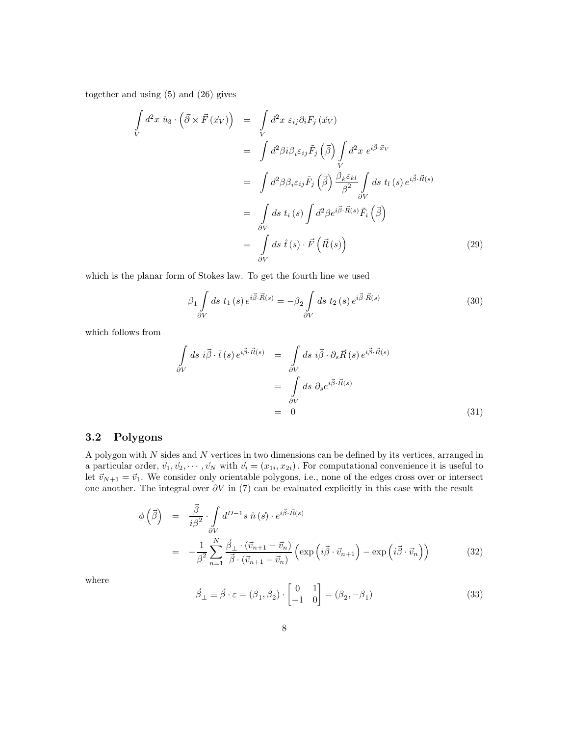together and using (5) and (26) gives

$$
\int_{V} d^{2}x \ \hat{u}_{3} \cdot (\vec{\partial} \times \vec{F}(\vec{x}_{V})) = \int_{V} d^{2}x \ \varepsilon_{ij}\partial_{i}F_{j}(\vec{x}_{V})
$$
\n
$$
= \int d^{2}\beta i \beta_{i}\varepsilon_{ij}\tilde{F}_{j}(\vec{\beta}) \int_{V} d^{2}x \ e^{i\vec{\beta}\cdot\vec{x}_{V}}
$$
\n
$$
= \int d^{2}\beta \beta_{i}\varepsilon_{ij}\tilde{F}_{j}(\vec{\beta}) \frac{\beta_{k}\varepsilon_{kl}}{\beta^{2}} \int_{\partial V} ds \ t_{l}(s) e^{i\vec{\beta}\cdot\vec{R}(s)}
$$
\n
$$
= \int_{\partial V} ds \ t_{i}(s) \int d^{2}\beta e^{i\vec{\beta}\cdot\vec{R}(s)} \tilde{F}_{i}(\vec{\beta})
$$
\n
$$
= \int_{\partial V} ds \ \hat{t}(s) \cdot \vec{F}(\vec{R}(s)) \tag{29}
$$

which is the planar form of Stokes law. To get the fourth line we used

$$
\beta_1 \int_{\partial V} ds \ t_1(s) e^{i\vec{\beta} \cdot \vec{R}(s)} = -\beta_2 \int_{\partial V} ds \ t_2(s) e^{i\vec{\beta} \cdot \vec{R}(s)} \tag{30}
$$

which follows from

$$
\int_{\partial V} ds \, i\vec{\beta} \cdot \hat{t}(s) \, e^{i\vec{\beta} \cdot \vec{R}(s)} = \int_{\partial V} ds \, i\vec{\beta} \cdot \partial_s \vec{R}(s) \, e^{i\vec{\beta} \cdot \vec{R}(s)}
$$
\n
$$
= \int_{\partial V} ds \, \partial_s e^{i\vec{\beta} \cdot \vec{R}(s)}
$$
\n
$$
= 0 \tag{31}
$$

### 3.2 Polygons

A polygon with  $N$  sides and  $N$  vertices in two dimensions can be defined by its vertices, arranged in a particular order,  $\vec{v}_1, \vec{v}_2, \cdots, \vec{v}_N$  with  $\vec{v}_i = (x_{1i}, x_{2i})$ . For computational convenience it is useful to let  $\vec{v}_{N+1} = \vec{v}_1$ . We consider only orientable polygons, i.e., none of the edges cross over or intersect one another. The integral over  $\partial V$  in (7) can be evaluated explicitly in this case with the result

$$
\begin{split}\n\phi\left(\vec{\beta}\right) &= \frac{\vec{\beta}}{i\beta^2} \cdot \int_{\partial V} d^{D-1}s \,\hat{n}\left(\vec{s}\right) \cdot e^{i\vec{\beta}\cdot\vec{R}(s)} \\
&= -\frac{1}{\beta^2} \sum_{n=1}^N \frac{\vec{\beta}_\perp \cdot (\vec{v}_{n+1} - \vec{v}_n)}{\vec{\beta} \cdot (\vec{v}_{n+1} - \vec{v}_n)} \left(\exp\left(i\vec{\beta}\cdot\vec{v}_{n+1}\right) - \exp\left(i\vec{\beta}\cdot\vec{v}_n\right)\right)\n\end{split} \tag{32}
$$

where

$$
\vec{\beta}_{\perp} \equiv \vec{\beta} \cdot \varepsilon = (\beta_1, \beta_2) \cdot \begin{bmatrix} 0 & 1 \\ -1 & 0 \end{bmatrix} = (\beta_2, -\beta_1)
$$
\n(33)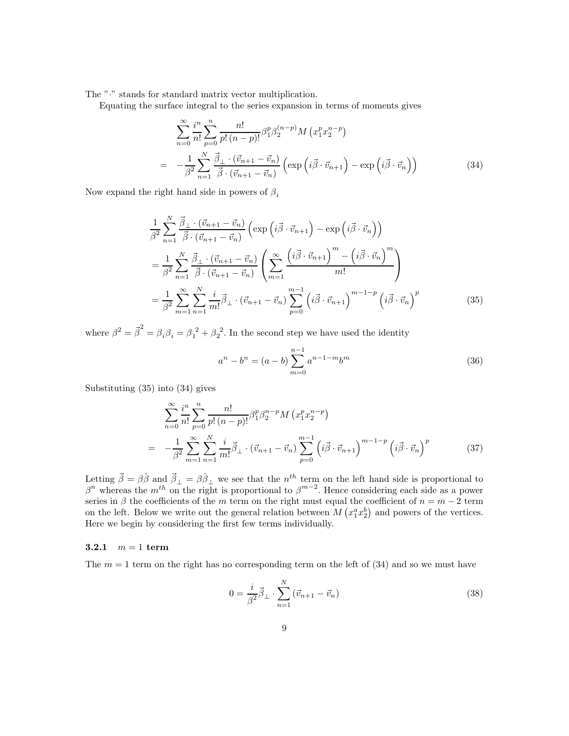The " $\cdot$ " stands for standard matrix vector multiplication.

Equating the surface integral to the series expansion in terms of moments gives

$$
\sum_{n=0}^{\infty} \frac{i^n}{n!} \sum_{p=0}^n \frac{n!}{p! (n-p)!} \beta_1^p \beta_2^{(n-p)} M \left( x_1^p x_2^{n-p} \right)
$$
  
= 
$$
-\frac{1}{\beta^2} \sum_{n=1}^N \frac{\vec{\beta}_\perp \cdot (\vec{v}_{n+1} - \vec{v}_n)}{\vec{\beta} \cdot (\vec{v}_{n+1} - \vec{v}_n)} \left( \exp \left( i \vec{\beta} \cdot \vec{v}_{n+1} \right) - \exp \left( i \vec{\beta} \cdot \vec{v}_n \right) \right)
$$
(34)

Now expand the right hand side in powers of  $\beta_i$ 

$$
\frac{1}{\beta^2} \sum_{n=1}^N \frac{\vec{\beta}_{\perp} \cdot (\vec{v}_{n+1} - \vec{v}_n)}{\vec{\beta} \cdot (\vec{v}_{n+1} - \vec{v}_n)} \left( \exp\left(i\vec{\beta} \cdot \vec{v}_{n+1}\right) - \exp\left(i\vec{\beta} \cdot \vec{v}_n\right) \right)
$$
\n
$$
= \frac{1}{\beta^2} \sum_{n=1}^N \frac{\vec{\beta}_{\perp} \cdot (\vec{v}_{n+1} - \vec{v}_n)}{\vec{\beta} \cdot (\vec{v}_{n+1} - \vec{v}_n)} \left( \sum_{m=1}^\infty \frac{\left(i\vec{\beta} \cdot \vec{v}_{n+1}\right)^m - \left(i\vec{\beta} \cdot \vec{v}_n\right)^m}{m!} \right)
$$
\n
$$
= \frac{1}{\beta^2} \sum_{m=1}^\infty \sum_{n=1}^N \frac{i}{m!} \vec{\beta}_{\perp} \cdot (\vec{v}_{n+1} - \vec{v}_n) \sum_{p=0}^{m-1} \left(i\vec{\beta} \cdot \vec{v}_{n+1}\right)^{m-1-p} \left(i\vec{\beta} \cdot \vec{v}_n\right)^p \tag{35}
$$

where  $\beta^2 = \vec{\beta}^2 = \beta_i \beta_i = \beta_1^2 + \beta_2^2$ . In the second step we have used the identity

$$
a^{n} - b^{n} = (a - b) \sum_{m=0}^{n-1} a^{n-1-m} b^{m}
$$
 (36)

Substituting (35) into (34) gives

$$
\sum_{n=0}^{\infty} \frac{i^n}{n!} \sum_{p=0}^n \frac{n!}{p! (n-p)!} \beta_1^p \beta_2^{n-p} M \left( x_1^p x_2^{n-p} \right)
$$
  
= 
$$
-\frac{1}{\beta^2} \sum_{m=1}^{\infty} \sum_{n=1}^N \frac{i}{m!} \vec{\beta}_{\perp} \cdot \left( \vec{v}_{n+1} - \vec{v}_n \right) \sum_{p=0}^{m-1} \left( i \vec{\beta} \cdot \vec{v}_{n+1} \right)^{m-1-p} \left( i \vec{\beta} \cdot \vec{v}_n \right)^p
$$
(37)

Letting  $\vec{\beta} = \beta \hat{\beta}$  and  $\vec{\beta}_{\perp} = \beta \hat{\beta}_{\perp}$  we see that the  $n^{th}$  term on the left hand side is proportional to  $\beta^{n}$  whereas the m<sup>th</sup> on the right is proportional to  $\beta^{m-2}$ . Hence considering each side as a power series in  $\beta$  the coefficients of the m term on the right must equal the coefficient of  $n = m - 2$  term on the left. Below we write out the general relation between  $M\left(x_1^ax_2^b\right)$  and powers of the vertices. Here we begin by considering the first few terms individually.

#### **3.2.1**  $m = 1$  term

The  $m = 1$  term on the right has no corresponding term on the left of (34) and so we must have

$$
0 = \frac{i}{\beta^2} \vec{\beta}_{\perp} \cdot \sum_{n=1}^{N} (\vec{v}_{n+1} - \vec{v}_n)
$$
 (38)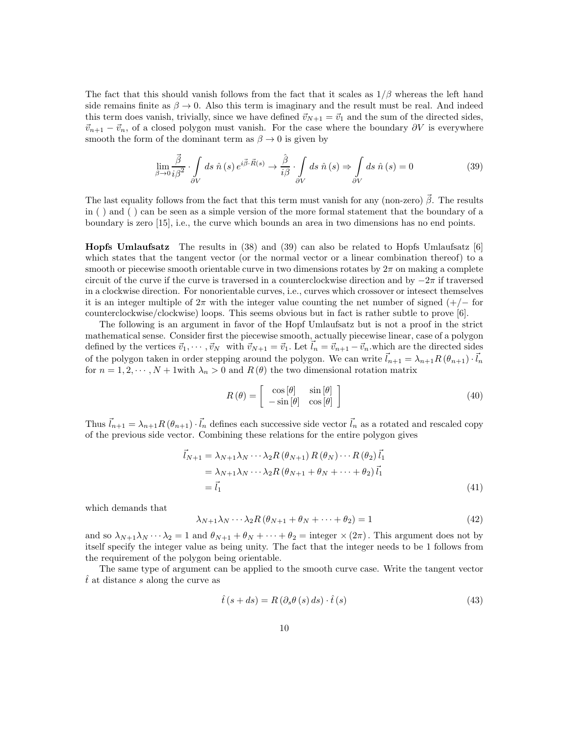The fact that this should vanish follows from the fact that it scales as  $1/\beta$  whereas the left hand side remains finite as  $\beta \to 0$ . Also this term is imaginary and the result must be real. And indeed this term does vanish, trivially, since we have defined  $\vec{v}_{N+1} = \vec{v}_1$  and the sum of the directed sides,  $\vec{v}_{n+1} - \vec{v}_n$ , of a closed polygon must vanish. For the case where the boundary  $\partial V$  is everywhere smooth the form of the dominant term as  $\beta \to 0$  is given by

$$
\lim_{\beta \to 0} \frac{\vec{\beta}}{i\beta^2} \cdot \int_{\partial V} ds \ \hat{n}(s) e^{i\vec{\beta} \cdot \vec{R}(s)} \to \frac{\hat{\beta}}{i\beta} \cdot \int_{\partial V} ds \ \hat{n}(s) \Rightarrow \int_{\partial V} ds \ \hat{n}(s) = 0 \tag{39}
$$

The last equality follows from the fact that this term must vanish for any (non-zero)  $\vec{\beta}$ . The results in ( ) and ( ) can be seen as a simple version of the more formal statement that the boundary of a boundary is zero [15], i.e., the curve which bounds an area in two dimensions has no end points.

Hopfs Umlaufsatz The results in (38) and (39) can also be related to Hopfs Umlaufsatz [6] which states that the tangent vector (or the normal vector or a linear combination thereof) to a smooth or piecewise smooth orientable curve in two dimensions rotates by  $2\pi$  on making a complete circuit of the curve if the curve is traversed in a counterclockwise direction and by  $-2\pi$  if traversed in a clockwise direction. For nonorientable curves, i.e., curves which crossover or intesect themselves it is an integer multiple of  $2\pi$  with the integer value counting the net number of signed (+/− for counterclockwise/clockwise) loops. This seems obvious but in fact is rather subtle to prove [6].

The following is an argument in favor of the Hopf Umlaufsatz but is not a proof in the strict mathematical sense. Consider first the piecewise smooth, actually piecewise linear, case of a polygon defined by the vertices  $\vec{v}_1, \dots, \vec{v}_N$  with  $\vec{v}_{N+1} = \vec{v}_1$ . Let  $\vec{l}_n = \vec{v}_{n+1} - \vec{v}_n$  which are the directed sides of the polygon taken in order stepping around the polygon. We can write  $\vec{l}_{n+1} = \lambda_{n+1} R(\theta_{n+1}) \cdot \vec{l}_n$ for  $n = 1, 2, \dots, N + 1$  with  $\lambda_n > 0$  and  $R(\theta)$  the two dimensional rotation matrix

$$
R(\theta) = \begin{bmatrix} \cos[\theta] & \sin[\theta] \\ -\sin[\theta] & \cos[\theta] \end{bmatrix}
$$
 (40)

Thus  $\vec{l}_{n+1} = \lambda_{n+1} R(\theta_{n+1}) \cdot \vec{l}_n$  defines each successive side vector  $\vec{l}_n$  as a rotated and rescaled copy of the previous side vector. Combining these relations for the entire polygon gives

$$
\vec{l}_{N+1} = \lambda_{N+1} \lambda_N \cdots \lambda_2 R \left(\theta_{N+1}\right) R \left(\theta_N\right) \cdots R \left(\theta_2\right) \vec{l}_1
$$
\n
$$
= \lambda_{N+1} \lambda_N \cdots \lambda_2 R \left(\theta_{N+1} + \theta_N + \cdots + \theta_2\right) \vec{l}_1
$$
\n
$$
= \vec{l}_1 \tag{41}
$$

which demands that

$$
\lambda_{N+1}\lambda_N \cdots \lambda_2 R \left(\theta_{N+1} + \theta_N + \cdots + \theta_2\right) = 1\tag{42}
$$

and so  $\lambda_{N+1}\lambda_N \cdots \lambda_2 = 1$  and  $\theta_{N+1} + \theta_N + \cdots + \theta_2 = \text{integer} \times (2\pi)$ . This argument does not by itself specify the integer value as being unity. The fact that the integer needs to be 1 follows from the requirement of the polygon being orientable.

The same type of argument can be applied to the smooth curve case. Write the tangent vector  $t$  at distance s along the curve as

$$
\hat{t}(s+ds) = R(\partial_s \theta(s) ds) \cdot \hat{t}(s)
$$
\n(43)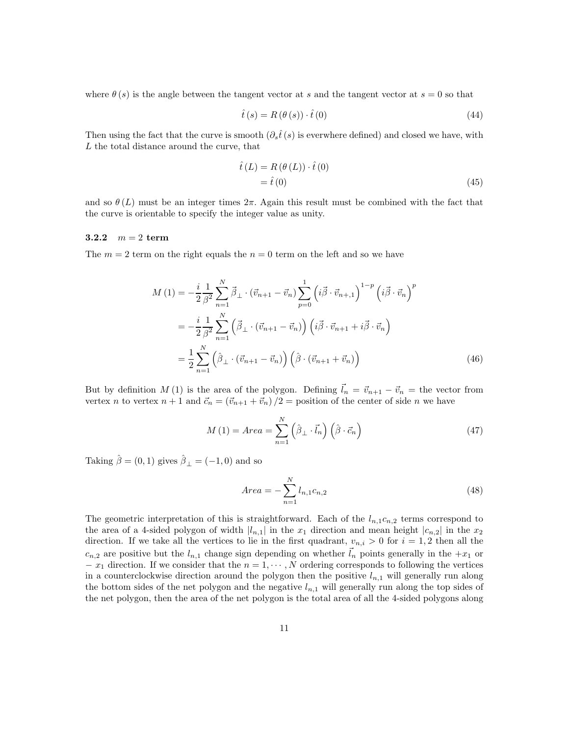where  $\theta(s)$  is the angle between the tangent vector at s and the tangent vector at  $s = 0$  so that

$$
\hat{t}(s) = R(\theta(s)) \cdot \hat{t}(0)
$$
\n(44)

Then using the fact that the curve is smooth  $(\partial_s \hat{t}(s))$  is everwhere defined) and closed we have, with L the total distance around the curve, that

$$
\hat{t}(L) = R(\theta(L)) \cdot \hat{t}(0)
$$
  
=  $\hat{t}(0)$  (45)

and so  $\theta(L)$  must be an integer times  $2\pi$ . Again this result must be combined with the fact that the curve is orientable to specify the integer value as unity.

#### 3.2.2  $m = 2$  term

The  $m = 2$  term on the right equals the  $n = 0$  term on the left and so we have

$$
M(1) = -\frac{i}{2} \frac{1}{\beta^2} \sum_{n=1}^{N} \vec{\beta}_{\perp} \cdot (\vec{v}_{n+1} - \vec{v}_n) \sum_{p=0}^{1} \left( i \vec{\beta} \cdot \vec{v}_{n+1} \right)^{1-p} \left( i \vec{\beta} \cdot \vec{v}_n \right)^p
$$
  

$$
= -\frac{i}{2} \frac{1}{\beta^2} \sum_{n=1}^{N} \left( \vec{\beta}_{\perp} \cdot (\vec{v}_{n+1} - \vec{v}_n) \right) \left( i \vec{\beta} \cdot \vec{v}_{n+1} + i \vec{\beta} \cdot \vec{v}_n \right)
$$
  

$$
= \frac{1}{2} \sum_{n=1}^{N} \left( \hat{\beta}_{\perp} \cdot (\vec{v}_{n+1} - \vec{v}_n) \right) \left( \hat{\beta} \cdot (\vec{v}_{n+1} + \vec{v}_n) \right)
$$
(46)

But by definition  $M(1)$  is the area of the polygon. Defining  $\vec{l}_n = \vec{v}_{n+1} - \vec{v}_n =$  the vector from vertex n to vertex  $n + 1$  and  $\vec{c}_n = (\vec{v}_{n+1} + \vec{v}_n)/2$  = position of the center of side n we have

$$
M(1) = Area = \sum_{n=1}^{N} (\hat{\beta}_{\perp} \cdot \vec{l}_n) (\hat{\beta} \cdot \vec{c}_n)
$$
 (47)

Taking  $\hat{\beta} = (0, 1)$  gives  $\hat{\beta}_{\perp} = (-1, 0)$  and so

$$
Area = -\sum_{n=1}^{N} l_{n,1}c_{n,2}
$$
\n(48)

The geometric interpretation of this is straightforward. Each of the  $l_{n,1}c_{n,2}$  terms correspond to the area of a 4-sided polygon of width  $|l_{n,1}|$  in the  $x_1$  direction and mean height  $|c_{n,2}|$  in the  $x_2$ direction. If we take all the vertices to lie in the first quadrant,  $v_{n,i} > 0$  for  $i = 1, 2$  then all the  $c_{n,2}$  are positive but the  $l_{n,1}$  change sign depending on whether  $\vec{l}_n$  points generally in the  $+x_1$  or  $- x_1$  direction. If we consider that the  $n = 1, \dots, N$  ordering corresponds to following the vertices in a counterclockwise direction around the polygon then the positive  $l_{n,1}$  will generally run along the bottom sides of the net polygon and the negative  $l_{n,1}$  will generally run along the top sides of the net polygon, then the area of the net polygon is the total area of all the 4-sided polygons along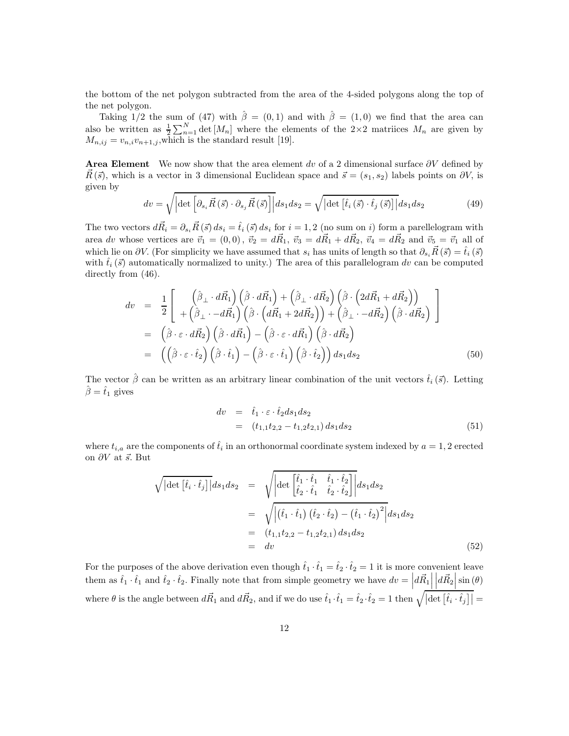the bottom of the net polygon subtracted from the area of the 4-sided polygons along the top of the net polygon.

Taking 1/2 the sum of (47) with  $\hat{\beta} = (0,1)$  and with  $\hat{\beta} = (1,0)$  we find that the area can also be written as  $\frac{1}{2} \sum_{n=1}^{N} \det[M_n]$  where the elements of the 2×2 matrices  $M_n$  are given by  $M_{n,ij} = v_{n,i}v_{n+1,j}$ , which is the standard result [19].

**Area Element** We now show that the area element dv of a 2 dimensional surface  $\partial V$  defined by  $R({\vec s})$ , which is a vector in 3 dimensional Euclidean space and  ${\vec s} = (s_1, s_2)$  labels points on  $\partial V$ , is given by

$$
dv = \sqrt{\left|\det\left[\partial_{s_i}\vec{R}\left(\vec{s}\right)\cdot\partial_{s_j}\vec{R}\left(\vec{s}\right)\right]\right|}ds_1ds_2 = \sqrt{\left|\det\left[\hat{t}_i\left(\vec{s}\right)\cdot\hat{t}_j\left(\vec{s}\right)\right]\right|}ds_1ds_2\tag{49}
$$

The two vectors  $d\vec{R}_i = \partial_{s_i}\vec{R}(\vec{s}) ds_i = \hat{t}_i(\vec{s}) ds_i$  for  $i = 1, 2$  (no sum on i) form a parellelogram with area dv whose vertices are  $\vec{v}_1 = (0,0)$ ,  $\vec{v}_2 = d\vec{R}_1$ ,  $\vec{v}_3 = d\vec{R}_1 + d\vec{R}_2$ ,  $\vec{v}_4 = d\vec{R}_2$  and  $\vec{v}_5 = \vec{v}_1$  all of which lie on ∂V. (For simplicity we have assumed that  $s_i$  has units of length so that  $\partial_{s_i}\vec{R}(\vec{s}) = \hat{t}_i(\vec{s})$ with  $\hat{t}_i(\vec{s})$  automatically normalized to unity.) The area of this parallelogram dv can be computed directly from  $(46)$ .

$$
dv = \frac{1}{2} \left[ \begin{array}{cc} \left( \hat{\beta}_{\perp} \cdot d\vec{R}_{1} \right) \left( \hat{\beta} \cdot d\vec{R}_{1} \right) + \left( \hat{\beta}_{\perp} \cdot d\vec{R}_{2} \right) \left( \hat{\beta} \cdot \left( 2d\vec{R}_{1} + d\vec{R}_{2} \right) \right) \\ + \left( \hat{\beta}_{\perp} \cdot -d\vec{R}_{1} \right) \left( \hat{\beta} \cdot \left( d\vec{R}_{1} + 2d\vec{R}_{2} \right) \right) + \left( \hat{\beta}_{\perp} \cdot -d\vec{R}_{2} \right) \left( \hat{\beta} \cdot d\vec{R}_{2} \right) \end{array} \right]
$$
  
\n
$$
= \left( \hat{\beta} \cdot \varepsilon \cdot d\vec{R}_{2} \right) \left( \hat{\beta} \cdot d\vec{R}_{1} \right) - \left( \hat{\beta} \cdot \varepsilon \cdot d\vec{R}_{1} \right) \left( \hat{\beta} \cdot d\vec{R}_{2} \right)
$$
  
\n
$$
= \left( \left( \hat{\beta} \cdot \varepsilon \cdot \hat{t}_{2} \right) \left( \hat{\beta} \cdot \hat{t}_{1} \right) - \left( \hat{\beta} \cdot \varepsilon \cdot \hat{t}_{1} \right) \left( \hat{\beta} \cdot \hat{t}_{2} \right) \right) ds_{1} ds_{2}
$$
 (50)

The vector  $\hat{\beta}$  can be written as an arbitrary linear combination of the unit vectors  $\hat{t}_i(\vec{s})$ . Letting  $\hat{\beta} = \hat{t}_1$  gives

$$
dv = \hat{t}_1 \cdot \varepsilon \cdot \hat{t}_2 ds_1 ds_2
$$
  
=  $(t_{1,1}t_{2,2} - t_{1,2}t_{2,1}) ds_1 ds_2$  (51)

where  $t_{i,a}$  are the components of  $\hat{t}_i$  in an orthonormal coordinate system indexed by  $a = 1, 2$  erected on  $\partial V$  at  $\vec{s}$ . But

$$
\sqrt{|\det [\hat{t}_i \cdot \hat{t}_j]|} ds_1 ds_2 = \sqrt{|\det [\hat{t}_1 \cdot \hat{t}_1 \quad \hat{t}_2 \cdot \hat{t}_2]|} ds_1 ds_2
$$
  
\n
$$
= \sqrt{|(\hat{t}_1 \cdot \hat{t}_1) (\hat{t}_2 \cdot \hat{t}_2) - (\hat{t}_1 \cdot \hat{t}_2)^2|} ds_1 ds_2
$$
  
\n
$$
= (t_{1,1}t_{2,2} - t_{1,2}t_{2,1}) ds_1 ds_2
$$
  
\n
$$
= dv \qquad (52)
$$

For the purposes of the above derivation even though  $\hat{t}_1 \cdot \hat{t}_1 = \hat{t}_2 \cdot \hat{t}_2 = 1$  it is more convenient leave them as  $\hat{t}_1 \cdot \hat{t}_1$  and  $\hat{t}_2 \cdot \hat{t}_2$ . Finally note that from simple geometry we have  $dv = d\vec{R_1}$  $d\vec{R}_2\Big|\sin{(\theta)}$ where  $\theta$  is the angle between  $d\vec{R}_1$  and  $d\vec{R}_2$ , and if we do use  $\hat{t}_1 \cdot \hat{t}_1 = \hat{t}_2 \cdot \hat{t}_2 = 1$  then  $\sqrt{|\det[\hat{t}_i \cdot \hat{t}_j]|} =$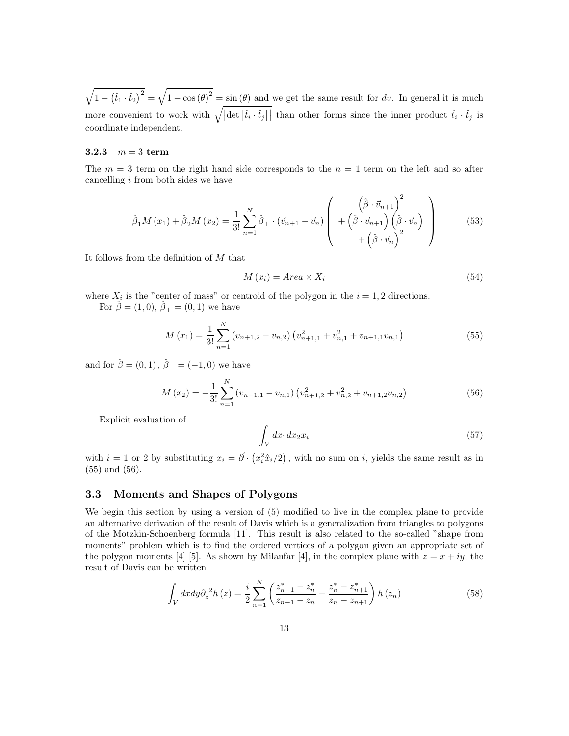$\sqrt{1 - (\hat{t}_1 \cdot \hat{t}_2)^2} = \sqrt{1 - \cos(\theta)^2} = \sin(\theta)$  and we get the same result for dv. In general it is much more convenient to work with  $\sqrt{\left|\det\left[\hat{t}_i\cdot\hat{t}_j\right]\right|}$  than other forms since the inner product  $\hat{t}_i\cdot\hat{t}_j$  is coordinate independent.

#### 3.2.3  $m = 3$  term

The  $m = 3$  term on the right hand side corresponds to the  $n = 1$  term on the left and so after cancelling  $i$  from both sides we have

$$
\hat{\beta}_1 M(x_1) + \hat{\beta}_2 M(x_2) = \frac{1}{3!} \sum_{n=1}^N \hat{\beta}_\perp \cdot (\vec{v}_{n+1} - \vec{v}_n) \left( \begin{array}{c} \left( \hat{\beta} \cdot \vec{v}_{n+1} \right)^2 \\ + \left( \hat{\beta} \cdot \vec{v}_{n+1} \right) \left( \hat{\beta} \cdot \vec{v}_n \right) \\ + \left( \hat{\beta} \cdot \vec{v}_n \right)^2 \end{array} \right)
$$
(53)

It follows from the definition of M that

$$
M(x_i) = Area \times X_i
$$
\n(54)

where  $X_i$  is the "center of mass" or centroid of the polygon in the  $i = 1, 2$  directions. For  $\hat{\beta} = (1, 0), \hat{\beta}_{\perp} = (0, 1)$  we have

$$
M(x_1) = \frac{1}{3!} \sum_{n=1}^{N} (v_{n+1,2} - v_{n,2}) (v_{n+1,1}^2 + v_{n,1}^2 + v_{n+1,1}v_{n,1})
$$
\n(55)

and for  $\hat{\beta} = (0, 1), \hat{\beta}_{\perp} = (-1, 0)$  we have

$$
M(x_2) = -\frac{1}{3!} \sum_{n=1}^{N} (v_{n+1,1} - v_{n,1}) \left( v_{n+1,2}^2 + v_{n,2}^2 + v_{n+1,2} v_{n,2} \right)
$$
(56)

Explicit evaluation of

$$
\int_{V} dx_1 dx_2 x_i \tag{57}
$$

with  $i = 1$  or 2 by substituting  $x_i = \vec{\partial} \cdot (x_i^2 \hat{x}_i/2)$ , with no sum on i, yields the same result as in (55) and (56).

#### 3.3 Moments and Shapes of Polygons

We begin this section by using a version of (5) modified to live in the complex plane to provide an alternative derivation of the result of Davis which is a generalization from triangles to polygons of the Motzkin-Schoenberg formula [11]. This result is also related to the so-called "shape from moments" problem which is to find the ordered vertices of a polygon given an appropriate set of the polygon moments [4] [5]. As shown by Milanfar [4], in the complex plane with  $z = x + iy$ , the result of Davis can be written

$$
\int_{V} dxdy \partial_{z}^{2} h(z) = \frac{i}{2} \sum_{n=1}^{N} \left( \frac{z_{n-1}^{*} - z_{n}^{*}}{z_{n-1} - z_{n}} - \frac{z_{n}^{*} - z_{n+1}^{*}}{z_{n} - z_{n+1}} \right) h(z_{n}) \tag{58}
$$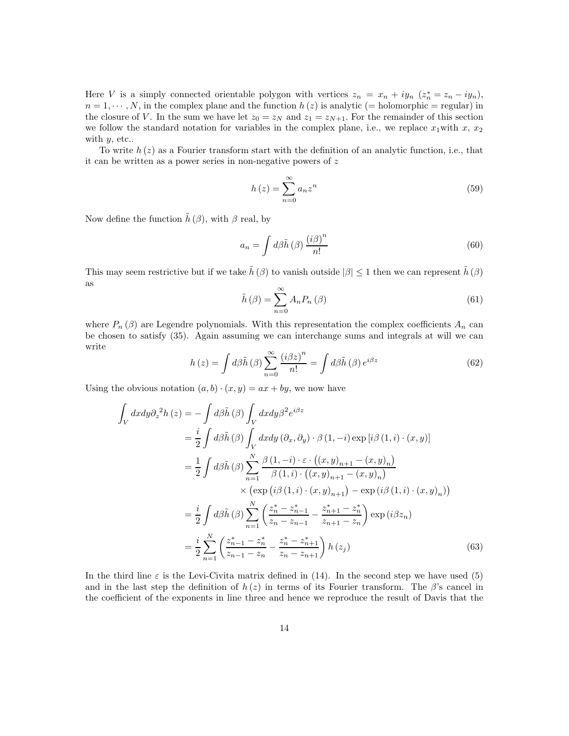Here V is a simply connected orientable polygon with vertices  $z_n = x_n + iy_n$   $(z_n^* = z_n - iy_n)$ ,  $n = 1, \dots, N$ , in the complex plane and the function  $h(z)$  is analytic (= holomorphic = regular) in the closure of V. In the sum we have let  $z_0 = z_N$  and  $z_1 = z_{N+1}$ . For the remainder of this section we follow the standard notation for variables in the complex plane, i.e., we replace  $x_1$  with  $x, x_2$ with  $y$ , etc..

To write  $h(z)$  as a Fourier transform start with the definition of an analytic function, i.e., that it can be written as a power series in non-negative powers of z

$$
h(z) = \sum_{n=0}^{\infty} a_n z^n
$$
\n(59)

Now define the function  $\tilde{h}(\beta)$ , with  $\beta$  real, by

$$
a_n = \int d\beta \tilde{h}(\beta) \frac{(i\beta)^n}{n!} \tag{60}
$$

This may seem restrictive but if we take  $\tilde{h}(\beta)$  to vanish outside  $|\beta| \leq 1$  then we can represent  $\tilde{h}(\beta)$ as

$$
\tilde{h}(\beta) = \sum_{n=0}^{\infty} A_n P_n(\beta)
$$
\n(61)

where  $P_n(\beta)$  are Legendre polynomials. With this representation the complex coefficients  $A_n$  can be chosen to satisfy (35). Again assuming we can interchange sums and integrals at will we can write

$$
h(z) = \int d\beta \tilde{h}(\beta) \sum_{n=0}^{\infty} \frac{\left(i\beta z\right)^n}{n!} = \int d\beta \tilde{h}(\beta) e^{i\beta z} \tag{62}
$$

Using the obvious notation  $(a, b) \cdot (x, y) = ax + by$ , we now have

$$
\int_{V} dxdy \partial_{z}^{2}h(z) = -\int d\beta \tilde{h}(\beta) \int_{V} dxdy \beta^{2} e^{i\beta z} \n= \frac{i}{2} \int d\beta \tilde{h}(\beta) \int_{V} dxdy (\partial_{x}, \partial_{y}) \cdot \beta (1, -i) \exp[i\beta (1, i) \cdot (x, y)] \n= \frac{1}{2} \int d\beta \tilde{h}(\beta) \sum_{n=1}^{N} \frac{\beta (1, -i) \cdot \varepsilon \cdot ((x, y)_{n+1} - (x, y)_{n})}{\beta (1, i) \cdot ((x, y)_{n+1} - (x, y)_{n})} \n\times (\exp[i\beta (1, i) \cdot (x, y)_{n+1}) - \exp(i\beta (1, i) \cdot (x, y)_{n})) \n= \frac{i}{2} \int d\beta \tilde{h}(\beta) \sum_{n=1}^{N} \left( \frac{z_{n}^{*} - z_{n-1}^{*}}{z_{n} - z_{n-1}} - \frac{z_{n+1}^{*} - z_{n}^{*}}{z_{n+1} - z_{n}} \right) \exp(i\beta z_{n}) \n= \frac{i}{2} \sum_{n=1}^{N} \left( \frac{z_{n-1}^{*} - z_{n}^{*}}{z_{n-1} - z_{n}} - \frac{z_{n}^{*} - z_{n+1}^{*}}{z_{n} - z_{n+1}} \right) h(z_{j}) \tag{63}
$$

In the third line  $\varepsilon$  is the Levi-Civita matrix defined in (14). In the second step we have used (5) and in the last step the definition of  $h(z)$  in terms of its Fourier transform. The  $\beta$ 's cancel in the coefficient of the exponents in line three and hence we reproduce the result of Davis that the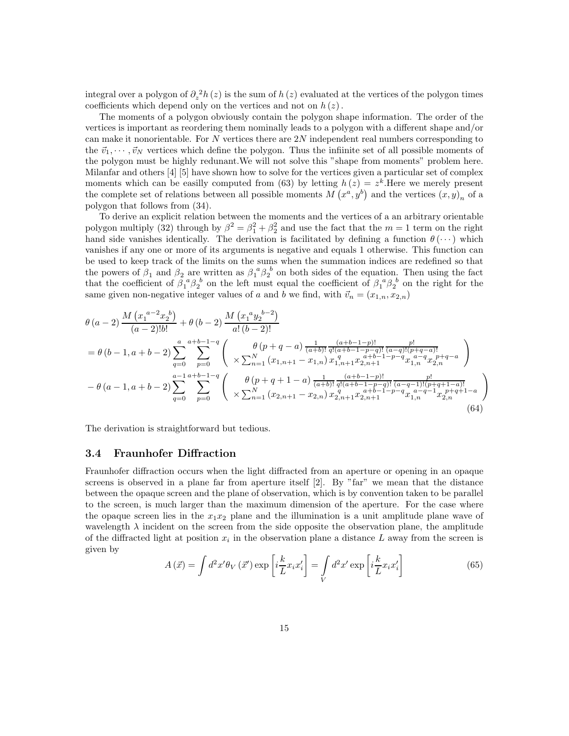integral over a polygon of  $\partial_z^2 h(z)$  is the sum of  $h(z)$  evaluated at the vertices of the polygon times coefficients which depend only on the vertices and not on  $h(z)$ .

The moments of a polygon obviously contain the polygon shape information. The order of the vertices is important as reordering them nominally leads to a polygon with a different shape and/or can make it nonorientable. For  $N$  vertices there are  $2N$  independent real numbers corresponding to the  $\vec{v}_1, \dots, \vec{v}_N$  vertices which define the polygon. Thus the infiinite set of all possible moments of the polygon must be highly redunant.We will not solve this "shape from moments" problem here. Milanfar and others [4] [5] have shown how to solve for the vertices given a particular set of complex moments which can be easilly computed from (63) by letting  $h(z) = z<sup>k</sup>$ . Here we merely present the complete set of relations between all possible moments  $M(x^a, y^b)$  and the vertices  $(x, y)_n$  of a polygon that follows from (34).

To derive an explicit relation between the moments and the vertices of a an arbitrary orientable polygon multiply (32) through by  $\beta^2 = \beta_1^2 + \beta_2^2$  and use the fact that the  $m = 1$  term on the right hand side vanishes identically. The derivation is facilitated by defining a function  $\theta(\cdots)$  which vanishes if any one or more of its arguments is negative and equals 1 otherwise. This function can be used to keep track of the limits on the sums when the summation indices are redefined so that the powers of  $\beta_1$  and  $\beta_2$  are written as  $\beta_1^{\ a} \beta_2^{\ b}$  on both sides of the equation. Then using the fact that the coefficient of  $\beta_1^{\ a}\beta_2^{\ b}$  on the left must equal the coefficient of  $\beta_1^{\ a}\beta_2^{\ b}$  on the right for the same given non-negative integer values of a and b we find, with  $\vec{v}_n = (x_{1,n}, x_{2,n})$ 

$$
\theta (a-2) \frac{M (x_1^{a-2} x_2^{b})}{(a-2)!b!} + \theta (b-2) \frac{M (x_1^{a} y_2^{b-2})}{a! (b-2)!} \n= \theta (b-1, a+b-2) \sum_{q=0}^{a} \sum_{p=0}^{a+b-1-q} \begin{pmatrix} \theta (p+q-a) \frac{1}{(a+b)!} \frac{(a+b-1-p)!}{q!(a+b-1-p-q)!} \frac{p!}{(a-q)!(p+q-a)!} \\ \times \sum_{n=1}^{N} (x_{1,n+1} - x_{1,n}) x_{1,n+1}^{q} x_{2,n+1}^{a+b-1-p-q} x_{1,n}^{a-q} x_{2,n}^{p+q-a} \end{pmatrix} \n- \theta (a-1, a+b-2) \sum_{q=0}^{a-1} \sum_{p=0}^{a+b-1-q} \begin{pmatrix} \theta (p+q+1-a) \frac{1}{(a+b)!} \frac{(a+b-1-p)!}{q!(a+b-1-p-q)!} \frac{p!}{(a-q-1)!(p+q+1-a)!} \\ \times \sum_{n=1}^{N} (x_{2,n+1} - x_{2,n}) x_{2,n+1}^{q} x_{2,n+1}^{a+b-1-p-q} x_{1,n}^{a-q-1} x_{2,n}^{p+q+1-a} \end{pmatrix}
$$
\n(64)

The derivation is straightforward but tedious.

#### 3.4 Fraunhofer Diffraction

Fraunhofer diffraction occurs when the light diffracted from an aperture or opening in an opaque screens is observed in a plane far from aperture itself [2]. By "far" we mean that the distance between the opaque screen and the plane of observation, which is by convention taken to be parallel to the screen, is much larger than the maximum dimension of the aperture. For the case where the opaque screen lies in the  $x_1x_2$  plane and the illumination is a unit amplitude plane wave of wavelength  $\lambda$  incident on the screen from the side opposite the observation plane, the amplitude of the diffracted light at position  $x_i$  in the observation plane a distance L away from the screen is given by

$$
A(\vec{x}) = \int d^2x' \theta_V(\vec{x}') \exp\left[i\frac{k}{L}x_i x'_i\right] = \int\limits_V d^2x' \exp\left[i\frac{k}{L}x_i x'_i\right]
$$
(65)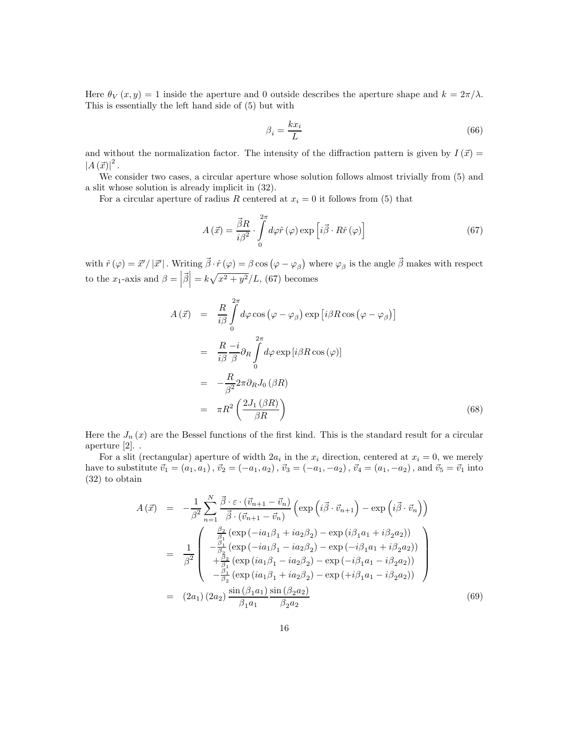Here  $\theta_V(x, y) = 1$  inside the aperture and 0 outside describes the aperture shape and  $k = 2\pi/\lambda$ . This is essentially the left hand side of (5) but with

$$
\beta_i = \frac{kx_i}{L} \tag{66}
$$

and without the normalization factor. The intensity of the diffraction pattern is given by  $I(\vec{x}) =$  $\left|A\left(\vec{x}\right)\right|^2$ .

We consider two cases, a circular aperture whose solution follows almost trivially from (5) and a slit whose solution is already implicit in (32).

For a circular aperture of radius R centered at  $x_i = 0$  it follows from (5) that

$$
A(\vec{x}) = \frac{\vec{\beta}R}{i\beta^2} \cdot \int_{0}^{2\pi} d\varphi \hat{r}(\varphi) \exp\left[i\vec{\beta} \cdot R\hat{r}(\varphi)\right]
$$
(67)

with  $\hat{r}(\varphi) = \vec{x}' / |\vec{x}'|$ . Writing  $\vec{\beta} \cdot \hat{r}(\varphi) = \beta \cos(\varphi - \varphi_{\beta})$  where  $\varphi_{\beta}$  is the angle  $\vec{\beta}$  makes with respect to the  $x_1$ -axis and  $\beta = |\vec{\beta}| = k\sqrt{x^2 + y^2}/L$ , (67) becomes

$$
A(\vec{x}) = \frac{R}{i\beta} \int_{0}^{2\pi} d\varphi \cos(\varphi - \varphi_{\beta}) \exp[i\beta R \cos(\varphi - \varphi_{\beta})]
$$
  
\n
$$
= \frac{R}{i\beta} \frac{-i}{\beta} \partial_{R} \int_{0}^{2\pi} d\varphi \exp[i\beta R \cos(\varphi)]
$$
  
\n
$$
= -\frac{R}{\beta^{2}} 2\pi \partial_{R} J_{0} (\beta R)
$$
  
\n
$$
= \pi R^{2} \left( \frac{2J_{1} (\beta R)}{\beta R} \right)
$$
(68)

Here the  $J_n(x)$  are the Bessel functions of the first kind. This is the standard result for a circular aperture [2]. .

For a slit (rectangular) aperture of width  $2a_i$  in the  $x_i$  direction, centered at  $x_i = 0$ , we merely have to substitute  $\vec{v}_1 = (a_1, a_1), \vec{v}_2 = (-a_1, a_2), \vec{v}_3 = (-a_1, -a_2), \vec{v}_4 = (a_1, -a_2),$  and  $\vec{v}_5 = \vec{v}_1$  into (32) to obtain

$$
A(\vec{x}) = -\frac{1}{\beta^2} \sum_{n=1}^{N} \frac{\vec{\beta} \cdot \varepsilon \cdot (\vec{v}_{n+1} - \vec{v}_n)}{\vec{\beta} \cdot (\vec{v}_{n+1} - \vec{v}_n)} \left( \exp\left(i\vec{\beta} \cdot \vec{v}_{n+1}\right) - \exp\left(i\vec{\beta} \cdot \vec{v}_n\right) \right)
$$
  
\n
$$
= \frac{1}{\beta^2} \begin{pmatrix} \frac{\beta_2}{\beta_1} \left( \exp\left(-ia_1\beta_1 + ia_2\beta_2\right) - \exp\left(i\beta_1a_1 + i\beta_2a_2\right) \right) \\ -\frac{\beta_1}{\beta_2} \left( \exp\left(-ia_1\beta_1 - ia_2\beta_2\right) - \exp\left(-i\beta_1a_1 + i\beta_2a_2\right) \right) \\ +\frac{\beta_2}{\beta_1} \left( \exp\left(ia_1\beta_1 - ia_2\beta_2\right) - \exp\left(-i\beta_1a_1 - i\beta_2a_2\right) \right) \\ -\frac{\beta_1}{\beta_2} \left( \exp\left(ia_1\beta_1 + ia_2\beta_2\right) - \exp\left(+i\beta_1a_1 - i\beta_2a_2\right) \right) \end{pmatrix}
$$
  
\n
$$
= (2a_1)(2a_2) \frac{\sin\left(\beta_1a_1\right)}{\beta_1a_1} \frac{\sin\left(\beta_2a_2\right)}{\beta_2a_2}
$$
 (69)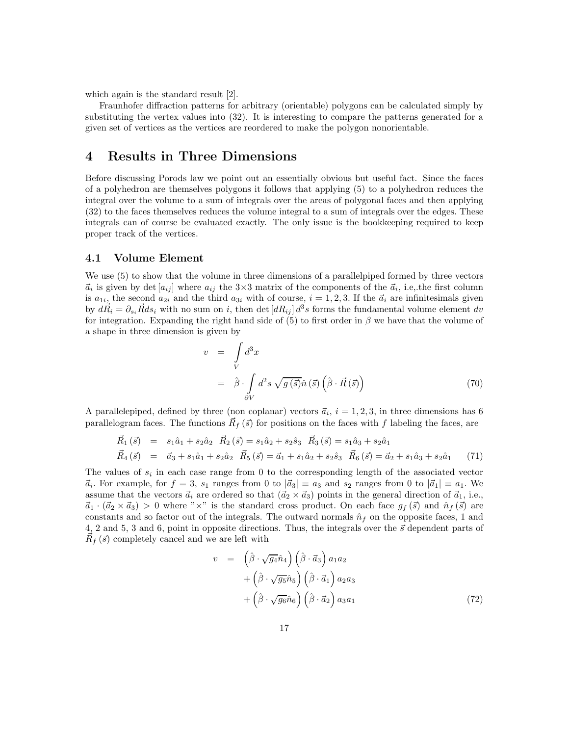which again is the standard result [2].

Fraunhofer diffraction patterns for arbitrary (orientable) polygons can be calculated simply by substituting the vertex values into (32). It is interesting to compare the patterns generated for a given set of vertices as the vertices are reordered to make the polygon nonorientable.

### 4 Results in Three Dimensions

Before discussing Porods law we point out an essentially obvious but useful fact. Since the faces of a polyhedron are themselves polygons it follows that applying (5) to a polyhedron reduces the integral over the volume to a sum of integrals over the areas of polygonal faces and then applying (32) to the faces themselves reduces the volume integral to a sum of integrals over the edges. These integrals can of course be evaluated exactly. The only issue is the bookkeeping required to keep proper track of the vertices.

#### 4.1 Volume Element

We use (5) to show that the volume in three dimensions of a parallelpiped formed by three vectors  $\vec{a}_i$  is given by det  $[a_{ij}]$  where  $a_{ij}$  the 3×3 matrix of the components of the  $\vec{a}_i$ , i.e., the first column is  $a_{1i}$ , the second  $a_{2i}$  and the third  $a_{3i}$  with of course,  $i = 1, 2, 3$ . If the  $\vec{a}_i$  are infinitesimals given by  $d\vec{R}_i = \partial_{s_i}\vec{R}ds_i$  with no sum on i, then det  $[dR_{ij}] d^3s$  forms the fundamental volume element dv for integration. Expanding the right hand side of (5) to first order in  $\beta$  we have that the volume of a shape in three dimension is given by

$$
v = \int\limits_V d^3x
$$
  
=  $\hat{\beta} \cdot \int\limits_{\partial V} d^2s \sqrt{g(\vec{s})} \hat{n}(\vec{s}) (\hat{\beta} \cdot \vec{R}(\vec{s}))$  (70)

A parallelepiped, defined by three (non coplanar) vectors  $\vec{a}_i, i = 1, 2, 3$ , in three dimensions has 6 parallelogram faces. The functions  $\vec{R}_f(\vec{s})$  for positions on the faces with f labeling the faces, are

$$
\vec{R}_1(\vec{s}) = s_1\hat{a}_1 + s_2\hat{a}_2 \quad \vec{R}_2(\vec{s}) = s_1\hat{a}_2 + s_2\hat{s}_3 \quad \vec{R}_3(\vec{s}) = s_1\hat{a}_3 + s_2\hat{a}_1 \n\vec{R}_4(\vec{s}) = \vec{a}_3 + s_1\hat{a}_1 + s_2\hat{a}_2 \quad \vec{R}_5(\vec{s}) = \vec{a}_1 + s_1\hat{a}_2 + s_2\hat{s}_3 \quad \vec{R}_6(\vec{s}) = \vec{a}_2 + s_1\hat{a}_3 + s_2\hat{a}_1
$$
\n(71)

The values of  $s_i$  in each case range from 0 to the corresponding length of the associated vector  $\vec{a}_i$ . For example, for  $f = 3$ ,  $s_1$  ranges from 0 to  $|\vec{a}_3| \equiv a_3$  and  $s_2$  ranges from 0 to  $|\vec{a}_1| \equiv a_1$ . We assume that the vectors  $\vec{a}_i$  are ordered so that  $(\vec{a}_2 \times \vec{a}_3)$  points in the general direction of  $\vec{a}_1$ , i.e.,  $\vec{a}_1 \cdot (\vec{a}_2 \times \vec{a}_3) > 0$  where "×" is the standard cross product. On each face  $g_f(\vec{s})$  and  $\hat{n}_f(\vec{s})$  are constants and so factor out of the integrals. The outward normals  $\hat{n}_f$  on the opposite faces, 1 and 4, 2 and 5, 3 and 6, point in opposite directions. Thus, the integrals over the  $\vec{s}$  dependent parts of  $\vec{R}_f(\vec{s})$  completely cancel and we are left with

$$
v = \left(\hat{\beta} \cdot \sqrt{g_4} \hat{n}_4\right) \left(\hat{\beta} \cdot \vec{a}_3\right) a_1 a_2 + \left(\hat{\beta} \cdot \sqrt{g_5} \hat{n}_5\right) \left(\hat{\beta} \cdot \vec{a}_1\right) a_2 a_3 + \left(\hat{\beta} \cdot \sqrt{g_6} \hat{n}_6\right) \left(\hat{\beta} \cdot \vec{a}_2\right) a_3 a_1
$$
\n(72)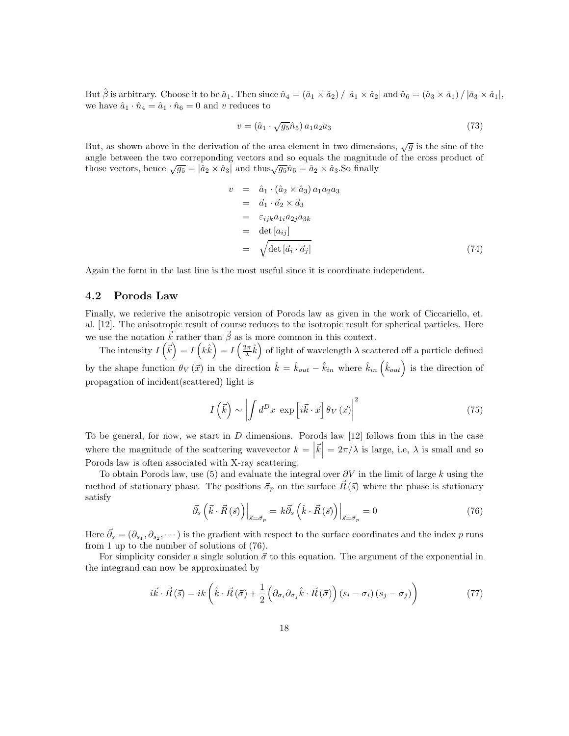But  $\hat{\beta}$  is arbitrary. Choose it to be  $\hat{a}_1$ . Then since  $\hat{n}_4 = (\hat{a}_1 \times \hat{a}_2) / |\hat{a}_1 \times \hat{a}_2|$  and  $\hat{n}_6 = (\hat{a}_3 \times \hat{a}_1) / |\hat{a}_3 \times \hat{a}_1|$ , we have  $\hat{a}_1 \cdot \hat{n}_4 = \hat{a}_1 \cdot \hat{n}_6 = 0$  and v reduces to

$$
v = (\hat{a}_1 \cdot \sqrt{g_5} \hat{n}_5) a_1 a_2 a_3 \tag{73}
$$

But, as shown above in the derivation of the area element in two dimensions,  $\sqrt{g}$  is the sine of the angle between the two correponding vectors and so equals the magnitude of the cross product of those vectors, hence  $\sqrt{g_5} = |\hat{a}_2 \times \hat{a}_3|$  and thus  $\sqrt{g_5} \hat{n}_5 = \hat{a}_2 \times \hat{a}_3$ . So finally

$$
v = \hat{a}_1 \cdot (\hat{a}_2 \times \hat{a}_3) a_1 a_2 a_3
$$
  
\n
$$
= \vec{a}_1 \cdot \vec{a}_2 \times \vec{a}_3
$$
  
\n
$$
= \varepsilon_{ijk} a_{1i} a_{2j} a_{3k}
$$
  
\n
$$
= det [a_{ij}]
$$
  
\n
$$
= \sqrt{\det [\vec{a}_i \cdot \vec{a}_j]}
$$
 (74)

Again the form in the last line is the most useful since it is coordinate independent.

### 4.2 Porods Law

Finally, we rederive the anisotropic version of Porods law as given in the work of Ciccariello, et. al. [12]. The anisotropic result of course reduces to the isotropic result for spherical particles. Here we use the notation  $\vec{k}$  rather than  $\vec{\beta}$  as is more common in this context.

The intensity  $I(\vec{k}) = I(k\hat{k}) = I(\frac{2\pi}{\lambda}\hat{k})$  of light of wavelength  $\lambda$  scattered off a particle defined by the shape function  $\theta_V(\vec{x})$  in the direction  $\hat{k} = \hat{k}_{out} - \hat{k}_{in}$  where  $\hat{k}_{in}(\hat{k}_{out})$  is the direction of propagation of incident(scattered) light is

$$
I\left(\vec{k}\right) \sim \left| \int d^D x \exp\left[i\vec{k}\cdot\vec{x}\right] \theta_V\left(\vec{x}\right) \right|^2 \tag{75}
$$

To be general, for now, we start in  $D$  dimensions. Porods law  $[12]$  follows from this in the case where the magnitude of the scattering wavevector  $k = |\vec{k}| = 2\pi/\lambda$  is large, i.e,  $\lambda$  is small and so Porods law is often associated with X-ray scattering.

To obtain Porods law, use (5) and evaluate the integral over  $\partial V$  in the limit of large k using the method of stationary phase. The positions  $\vec{\sigma}_p$  on the surface  $\vec{R}(\vec{s})$  where the phase is stationary satisfy

$$
\left. \vec{\partial}_{s} \left( \vec{k} \cdot \vec{R} \left( \vec{s} \right) \right) \right|_{\vec{s} = \vec{\sigma}_{p}} = k \vec{\partial}_{s} \left( \hat{k} \cdot \vec{R} \left( \vec{s} \right) \right) \right|_{\vec{s} = \vec{\sigma}_{p}} = 0 \tag{76}
$$

Here  $\vec{\partial}_s = (\partial_{s_1}, \partial_{s_2}, \dots)$  is the gradient with respect to the surface coordinates and the index p runs from 1 up to the number of solutions of (76).

For simplicity consider a single solution  $\vec{\sigma}$  to this equation. The argument of the exponential in the integrand can now be approximated by

$$
i\vec{k} \cdot \vec{R}(\vec{s}) = ik \left( \hat{k} \cdot \vec{R}(\vec{\sigma}) + \frac{1}{2} \left( \partial_{\sigma_i} \partial_{\sigma_j} \hat{k} \cdot \vec{R}(\vec{\sigma}) \right) (s_i - \sigma_i) (s_j - \sigma_j) \right)
$$
(77)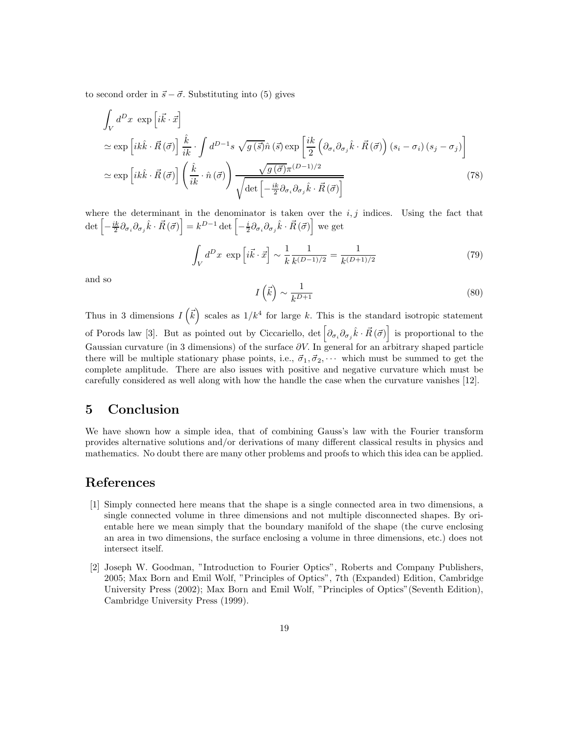to second order in  $\vec{s} - \vec{\sigma}$ . Substituting into (5) gives

$$
\int_{V} d^{D}x \exp\left[i\vec{k}\cdot\vec{x}\right]
$$
\n
$$
\simeq \exp\left[ik\hat{k}\cdot\vec{R}(\vec{\sigma})\right] \frac{\hat{k}}{ik} \cdot \int d^{D-1}s \sqrt{g(\vec{s})}\hat{n}(\vec{s}) \exp\left[\frac{ik}{2}\left(\partial_{\sigma_{i}}\partial_{\sigma_{j}}\hat{k}\cdot\vec{R}(\vec{\sigma})\right)(s_{i}-\sigma_{i})(s_{j}-\sigma_{j})\right]
$$
\n
$$
\simeq \exp\left[ik\hat{k}\cdot\vec{R}(\vec{\sigma})\right] \left(\frac{\hat{k}}{ik}\cdot\hat{n}(\vec{\sigma})\right) \frac{\sqrt{g(\vec{\sigma})}\pi^{(D-1)/2}}{\sqrt{\det\left[-\frac{ik}{2}\partial_{\sigma_{i}}\partial_{\sigma_{j}}\hat{k}\cdot\vec{R}(\vec{\sigma})\right]}}
$$
\n(78)

where the determinant in the denominator is taken over the  $i, j$  indices. Using the fact that  $\det \left[ -\frac{ik}{2} \partial_{\sigma_i} \partial_{\sigma_j} \hat{k} \cdot \vec{R}(\vec{\sigma}) \right] = k^{D-1} \det \left[ -\frac{i}{2} \partial_{\sigma_i} \partial_{\sigma_j} \hat{k} \cdot \vec{R}(\vec{\sigma}) \right]$  we get

$$
\int_{V} d^{D}x \exp\left[i\vec{k}\cdot\vec{x}\right] \sim \frac{1}{k}\frac{1}{k^{(D-1)/2}} = \frac{1}{k^{(D+1)/2}}\tag{79}
$$

and so

$$
I\left(\vec{k}\right) \sim \frac{1}{k^{D+1}}\tag{80}
$$

Thus in 3 dimensions  $I(\vec{k})$  scales as  $1/k^4$  for large k. This is the standard isotropic statement of Porods law [3]. But as pointed out by Ciccariello,  $\det \left[ \partial_{\sigma_i} \partial_{\sigma_j} \hat{k} \cdot \vec{R}(\vec{\sigma}) \right]$  is proportional to the Gaussian curvature (in 3 dimensions) of the surface  $\partial V$ . In general for an arbitrary shaped particle there will be multiple stationary phase points, i.e.,  $\vec{\sigma}_1, \vec{\sigma}_2, \cdots$  which must be summed to get the complete amplitude. There are also issues with positive and negative curvature which must be carefully considered as well along with how the handle the case when the curvature vanishes [12].

### 5 Conclusion

We have shown how a simple idea, that of combining Gauss's law with the Fourier transform provides alternative solutions and/or derivations of many different classical results in physics and mathematics. No doubt there are many other problems and proofs to which this idea can be applied.

### References

- [1] Simply connected here means that the shape is a single connected area in two dimensions, a single connected volume in three dimensions and not multiple disconnected shapes. By orientable here we mean simply that the boundary manifold of the shape (the curve enclosing an area in two dimensions, the surface enclosing a volume in three dimensions, etc.) does not intersect itself.
- [2] Joseph W. Goodman, "Introduction to Fourier Optics", Roberts and Company Publishers, 2005; Max Born and Emil Wolf, "Principles of Optics", 7th (Expanded) Edition, Cambridge University Press (2002); Max Born and Emil Wolf, "Principles of Optics"(Seventh Edition), Cambridge University Press (1999).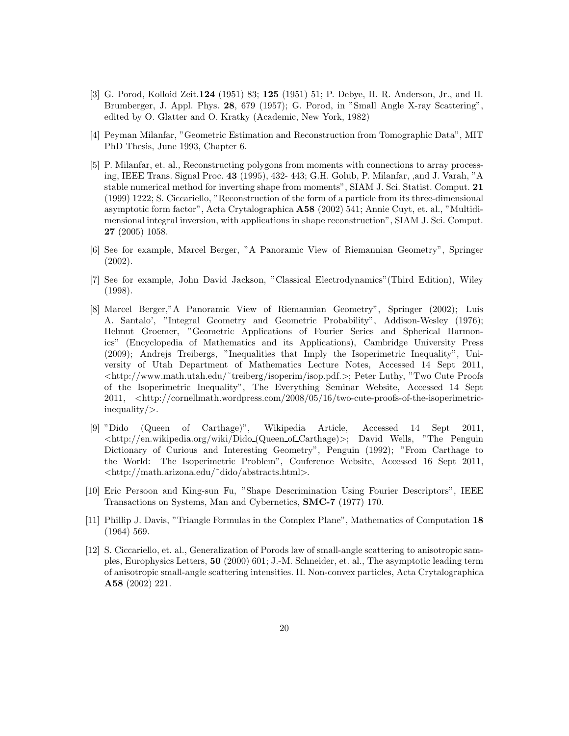- [3] G. Porod, Kolloid Zeit.124 (1951) 83; 125 (1951) 51; P. Debye, H. R. Anderson, Jr., and H. Brumberger, J. Appl. Phys. 28, 679 (1957); G. Porod, in "Small Angle X-ray Scattering", edited by O. Glatter and O. Kratky (Academic, New York, 1982)
- [4] Peyman Milanfar, "Geometric Estimation and Reconstruction from Tomographic Data", MIT PhD Thesis, June 1993, Chapter 6.
- [5] P. Milanfar, et. al., Reconstructing polygons from moments with connections to array processing, IEEE Trans. Signal Proc. 43 (1995), 432- 443; G.H. Golub, P. Milanfar, ,and J. Varah, "A stable numerical method for inverting shape from moments", SIAM J. Sci. Statist. Comput. 21 (1999) 1222; S. Ciccariello, "Reconstruction of the form of a particle from its three-dimensional asymptotic form factor", Acta Crytalographica A58 (2002) 541; Annie Cuyt, et. al., "Multidimensional integral inversion, with applications in shape reconstruction", SIAM J. Sci. Comput. 27 (2005) 1058.
- [6] See for example, Marcel Berger, "A Panoramic View of Riemannian Geometry", Springer (2002).
- [7] See for example, John David Jackson, "Classical Electrodynamics"(Third Edition), Wiley (1998).
- [8] Marcel Berger,"A Panoramic View of Riemannian Geometry", Springer (2002); Luis A. Santalo', "Integral Geometry and Geometric Probability", Addison-Wesley (1976); Helmut Groemer, "Geometric Applications of Fourier Series and Spherical Harmonics" (Encyclopedia of Mathematics and its Applications), Cambridge University Press (2009); Andrejs Treibergs, "Inequalities that Imply the Isoperimetric Inequality", University of Utah Department of Mathematics Lecture Notes, Accessed 14 Sept 2011, <http://www.math.utah.edu/˜treiberg/isoperim/isop.pdf.>; Peter Luthy, "Two Cute Proofs of the Isoperimetric Inequality", The Everything Seminar Website, Accessed 14 Sept 2011, <http://cornellmath.wordpress.com/2008/05/16/two-cute-proofs-of-the-isoperimetricinequality/>.
- [9] "Dido (Queen of Carthage)", Wikipedia Article, Accessed 14 Sept 2011,  $\langle \text{http://en.wikipedia.org/wiki/Dido(Queen_of_Carthage)} \rangle$ ; David Wells, "The Penguin Dictionary of Curious and Interesting Geometry", Penguin (1992); "From Carthage to the World: The Isoperimetric Problem", Conference Website, Accessed 16 Sept 2011, <http://math.arizona.edu/˜dido/abstracts.html>.
- [10] Eric Persoon and King-sun Fu, "Shape Descrimination Using Fourier Descriptors", IEEE Transactions on Systems, Man and Cybernetics, SMC-7 (1977) 170.
- [11] Phillip J. Davis, "Triangle Formulas in the Complex Plane", Mathematics of Computation 18 (1964) 569.
- [12] S. Ciccariello, et. al., Generalization of Porods law of small-angle scattering to anisotropic samples, Europhysics Letters, 50 (2000) 601; J.-M. Schneider, et. al., The asymptotic leading term of anisotropic small-angle scattering intensities. II. Non-convex particles, Acta Crytalographica A58 (2002) 221.